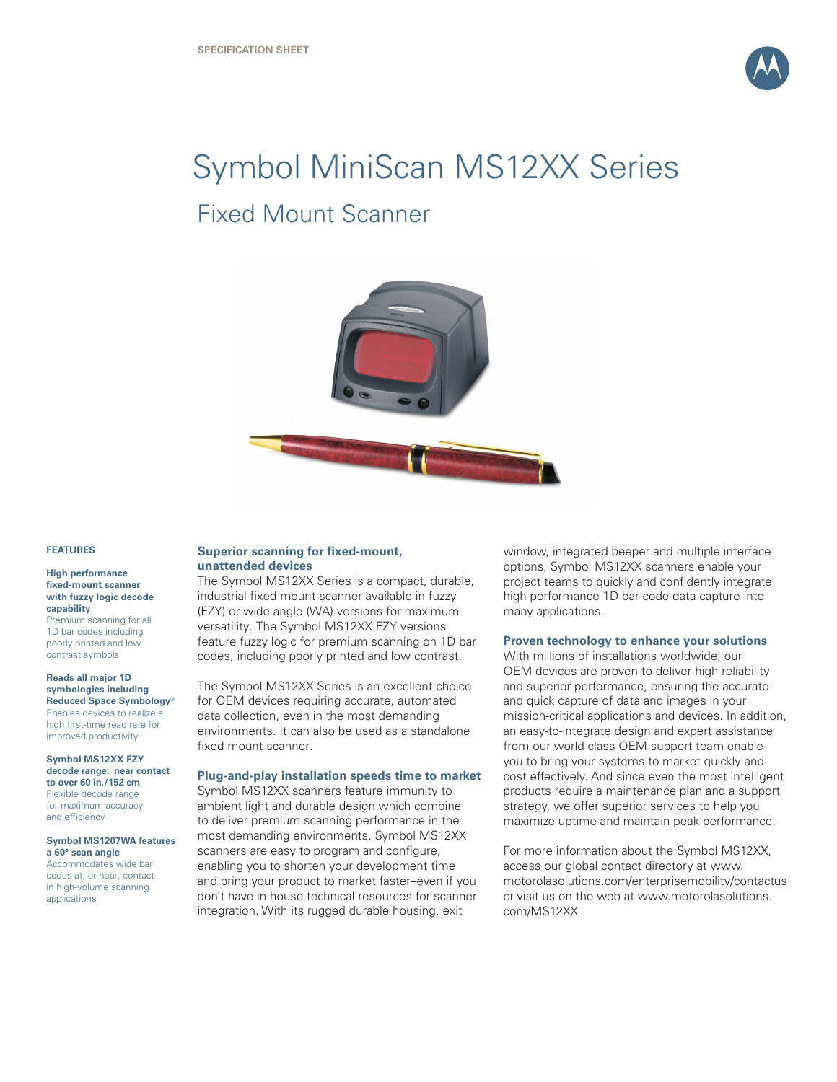

# Symbol MiniScan MS12XX Series Fixed Mount Scanner



#### **FEATURES**

#### **High performance fixed-mount scanner with fuzzy logic decode capability**

Premium scanning for all 1D bar codes including poorly printed and low contrast symbols

**Reads all major 1D symbologies including Reduced Space Symbology®** Enables devices to realize a high first-time read rate for improved productivity

**Symbol MS12XX FZY decode range: near contact to over 60 in./152 cm** Flexible decode range for maximum accuracy and efficiency

#### **Symbol MS1207WA features a 60° scan angle** Accommodates wide bar codes at, or near, contact in high-volume scanning

applications

#### **Superior scanning for fixed-mount, unattended devices**

The Symbol MS12XX Series is a compact, durable, industrial fixed mount scanner available in fuzzy (FZY) or wide angle (WA) versions for maximum versatility. The Symbol MS12XX FZY versions feature fuzzy logic for premium scanning on 1D bar codes, including poorly printed and low contrast.

The Symbol MS12XX Series is an excellent choice for OEM devices requiring accurate, automated data collection, even in the most demanding environments. It can also be used as a standalone fixed mount scanner.

#### **Plug-and-play installation speeds time to market**

Symbol MS12XX scanners feature immunity to ambient light and durable design which combine to deliver premium scanning performance in the most demanding environments. Symbol MS12XX scanners are easy to program and configure, enabling you to shorten your development time and bring your product to market faster–even if you don't have in-house technical resources for scanner integration. With its rugged durable housing, exit

window, integrated beeper and multiple interface options, Symbol MS12XX scanners enable your project teams to quickly and confidently integrate high-performance 1D bar code data capture into many applications.

### **Proven technology to enhance your solutions**

With millions of installations worldwide, our OEM devices are proven to deliver high reliability and superior performance, ensuring the accurate and quick capture of data and images in your mission-critical applications and devices. In addition, an easy-to-integrate design and expert assistance from our world-class OEM support team enable you to bring your systems to market quickly and cost effectively. And since even the most intelligent products require a maintenance plan and a support strategy, we offer superior services to help you maximize uptime and maintain peak performance.

For more information about the Symbol MS12XX, access our global contact directory at www. motorolasolutions.com/enterprisemobility/contactus or visit us on the web at www.motorolasolutions. com/MS12XX